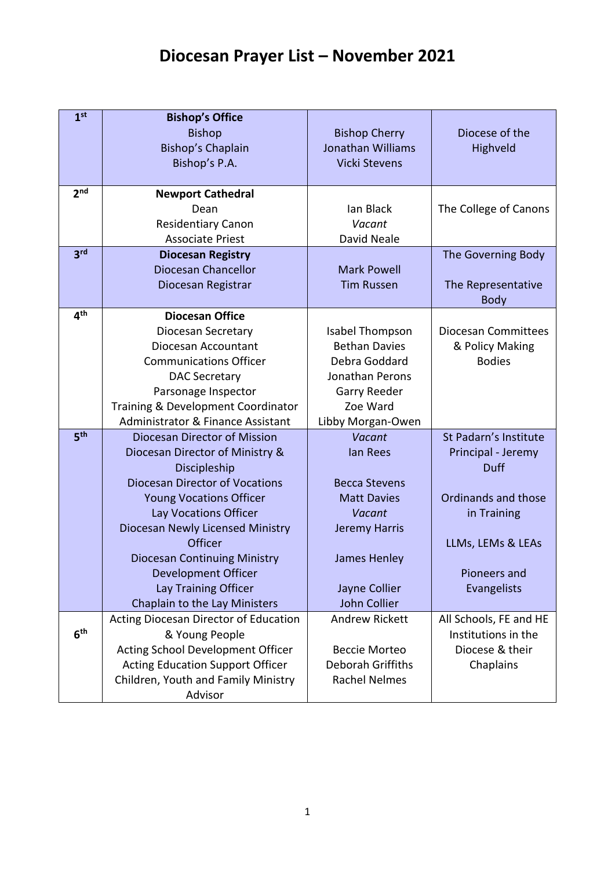## **Diocesan Prayer List – November 2021**

| 1 <sup>st</sup> | <b>Bishop's Office</b>                  |                       |                            |
|-----------------|-----------------------------------------|-----------------------|----------------------------|
|                 | <b>Bishop</b>                           | <b>Bishop Cherry</b>  | Diocese of the             |
|                 | Bishop's Chaplain                       | Jonathan Williams     | Highveld                   |
|                 | Bishop's P.A.                           | <b>Vicki Stevens</b>  |                            |
|                 |                                         |                       |                            |
| 2 <sub>nd</sub> | <b>Newport Cathedral</b>                |                       |                            |
|                 | Dean                                    | lan Black             | The College of Canons      |
|                 | <b>Residentiary Canon</b>               | Vacant                |                            |
|                 | <b>Associate Priest</b>                 | David Neale           |                            |
| 3 <sup>rd</sup> | <b>Diocesan Registry</b>                |                       | The Governing Body         |
|                 | Diocesan Chancellor                     | <b>Mark Powell</b>    |                            |
|                 | Diocesan Registrar                      | <b>Tim Russen</b>     | The Representative         |
|                 |                                         |                       | <b>Body</b>                |
| 4 <sup>th</sup> | <b>Diocesan Office</b>                  |                       |                            |
|                 | Diocesan Secretary                      | Isabel Thompson       | <b>Diocesan Committees</b> |
|                 | Diocesan Accountant                     | <b>Bethan Davies</b>  | & Policy Making            |
|                 | <b>Communications Officer</b>           | Debra Goddard         | <b>Bodies</b>              |
|                 | <b>DAC Secretary</b>                    | Jonathan Perons       |                            |
|                 | Parsonage Inspector                     | Garry Reeder          |                            |
|                 | Training & Development Coordinator      | Zoe Ward              |                            |
|                 | Administrator & Finance Assistant       | Libby Morgan-Owen     |                            |
| 5 <sup>th</sup> | Diocesan Director of Mission            | Vacant                | St Padarn's Institute      |
|                 | Diocesan Director of Ministry &         | lan Rees              | Principal - Jeremy         |
|                 | Discipleship                            |                       | Duff                       |
|                 | <b>Diocesan Director of Vocations</b>   | <b>Becca Stevens</b>  |                            |
|                 | <b>Young Vocations Officer</b>          | <b>Matt Davies</b>    | Ordinands and those        |
|                 | Lay Vocations Officer                   | Vacant                | in Training                |
|                 | Diocesan Newly Licensed Ministry        | Jeremy Harris         |                            |
|                 | Officer                                 |                       | LLMs, LEMs & LEAs          |
|                 | <b>Diocesan Continuing Ministry</b>     | James Henley          |                            |
|                 | Development Officer                     |                       | Pioneers and               |
|                 | Lay Training Officer                    | Jayne Collier         | <b>Evangelists</b>         |
|                 | Chaplain to the Lay Ministers           | <b>John Collier</b>   |                            |
| 6 <sup>th</sup> | Acting Diocesan Director of Education   | <b>Andrew Rickett</b> | All Schools, FE and HE     |
|                 | & Young People                          |                       | Institutions in the        |
|                 | Acting School Development Officer       | <b>Beccie Morteo</b>  | Diocese & their            |
|                 | <b>Acting Education Support Officer</b> | Deborah Griffiths     | Chaplains                  |
|                 | Children, Youth and Family Ministry     | <b>Rachel Nelmes</b>  |                            |
|                 | Advisor                                 |                       |                            |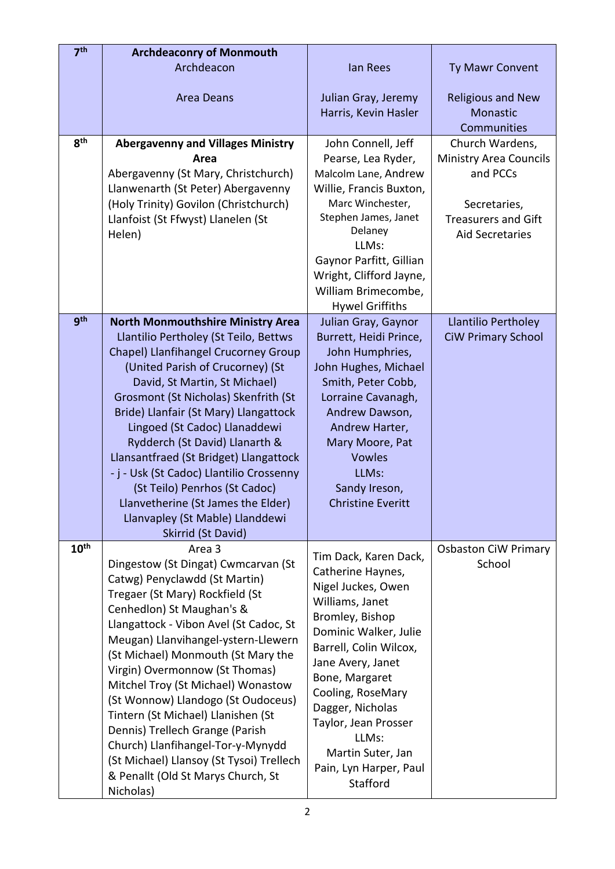| 7 <sup>th</sup>  | <b>Archdeaconry of Monmouth</b>                                                                                                                                                                                                                                                                                                                                                                                                                                                                                                                                                                  |                                                                                                                                                                                                                                                                                                                                       |                                                                                                                                      |
|------------------|--------------------------------------------------------------------------------------------------------------------------------------------------------------------------------------------------------------------------------------------------------------------------------------------------------------------------------------------------------------------------------------------------------------------------------------------------------------------------------------------------------------------------------------------------------------------------------------------------|---------------------------------------------------------------------------------------------------------------------------------------------------------------------------------------------------------------------------------------------------------------------------------------------------------------------------------------|--------------------------------------------------------------------------------------------------------------------------------------|
|                  | Archdeacon                                                                                                                                                                                                                                                                                                                                                                                                                                                                                                                                                                                       | lan Rees                                                                                                                                                                                                                                                                                                                              | <b>Ty Mawr Convent</b>                                                                                                               |
|                  | <b>Area Deans</b>                                                                                                                                                                                                                                                                                                                                                                                                                                                                                                                                                                                | Julian Gray, Jeremy<br>Harris, Kevin Hasler                                                                                                                                                                                                                                                                                           | <b>Religious and New</b><br>Monastic<br>Communities                                                                                  |
| 8 <sup>th</sup>  | <b>Abergavenny and Villages Ministry</b><br>Area<br>Abergavenny (St Mary, Christchurch)<br>Llanwenarth (St Peter) Abergavenny<br>(Holy Trinity) Govilon (Christchurch)<br>Llanfoist (St Ffwyst) Llanelen (St<br>Helen)                                                                                                                                                                                                                                                                                                                                                                           | John Connell, Jeff<br>Pearse, Lea Ryder,<br>Malcolm Lane, Andrew<br>Willie, Francis Buxton,<br>Marc Winchester,<br>Stephen James, Janet<br>Delaney<br>LLMs:<br>Gaynor Parfitt, Gillian<br>Wright, Clifford Jayne,<br>William Brimecombe,<br><b>Hywel Griffiths</b>                                                                    | Church Wardens,<br><b>Ministry Area Councils</b><br>and PCCs<br>Secretaries,<br><b>Treasurers and Gift</b><br><b>Aid Secretaries</b> |
| gth              | <b>North Monmouthshire Ministry Area</b><br>Llantilio Pertholey (St Teilo, Bettws<br>Chapel) Llanfihangel Crucorney Group<br>(United Parish of Crucorney) (St<br>David, St Martin, St Michael)<br>Grosmont (St Nicholas) Skenfrith (St<br>Bride) Llanfair (St Mary) Llangattock<br>Lingoed (St Cadoc) Llanaddewi<br>Rydderch (St David) Llanarth &<br>Llansantfraed (St Bridget) Llangattock<br>- j - Usk (St Cadoc) Llantilio Crossenny<br>(St Teilo) Penrhos (St Cadoc)<br>Llanvetherine (St James the Elder)<br>Llanvapley (St Mable) Llanddewi<br>Skirrid (St David)                         | Julian Gray, Gaynor<br>Burrett, Heidi Prince,<br>John Humphries,<br>John Hughes, Michael<br>Smith, Peter Cobb,<br>Lorraine Cavanagh,<br>Andrew Dawson,<br>Andrew Harter,<br>Mary Moore, Pat<br><b>Vowles</b><br>LLMs:<br>Sandy Ireson,<br><b>Christine Everitt</b>                                                                    | Llantilio Pertholey<br><b>CiW Primary School</b>                                                                                     |
| 10 <sup>th</sup> | Area 3<br>Dingestow (St Dingat) Cwmcarvan (St<br>Catwg) Penyclawdd (St Martin)<br>Tregaer (St Mary) Rockfield (St<br>Cenhedlon) St Maughan's &<br>Llangattock - Vibon Avel (St Cadoc, St<br>Meugan) Llanvihangel-ystern-Llewern<br>(St Michael) Monmouth (St Mary the<br>Virgin) Overmonnow (St Thomas)<br>Mitchel Troy (St Michael) Wonastow<br>(St Wonnow) Llandogo (St Oudoceus)<br>Tintern (St Michael) Llanishen (St<br>Dennis) Trellech Grange (Parish<br>Church) Llanfihangel-Tor-y-Mynydd<br>(St Michael) Llansoy (St Tysoi) Trellech<br>& Penallt (Old St Marys Church, St<br>Nicholas) | Tim Dack, Karen Dack,<br>Catherine Haynes,<br>Nigel Juckes, Owen<br>Williams, Janet<br>Bromley, Bishop<br>Dominic Walker, Julie<br>Barrell, Colin Wilcox,<br>Jane Avery, Janet<br>Bone, Margaret<br>Cooling, RoseMary<br>Dagger, Nicholas<br>Taylor, Jean Prosser<br>LLMs:<br>Martin Suter, Jan<br>Pain, Lyn Harper, Paul<br>Stafford | <b>Osbaston CiW Primary</b><br>School                                                                                                |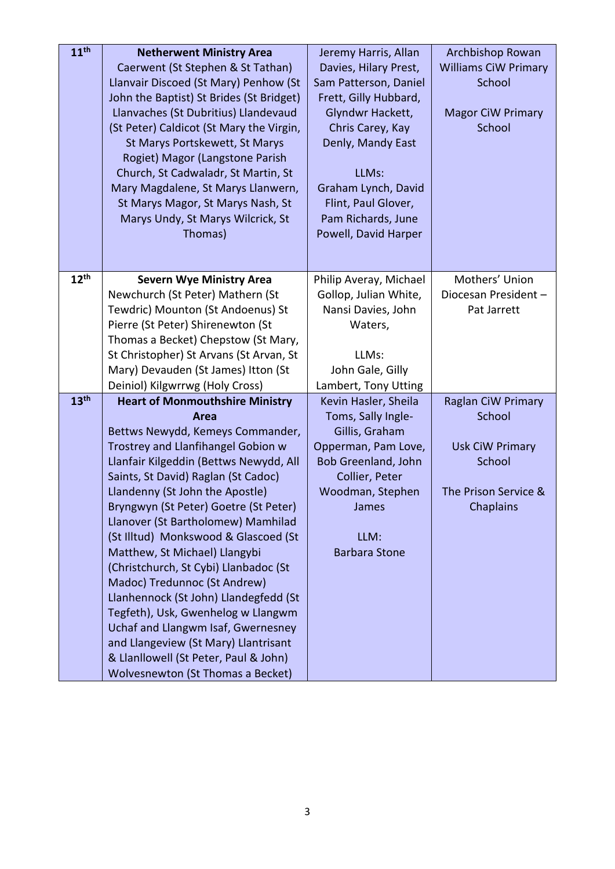| <b>Williams CiW Primary</b><br>Caerwent (St Stephen & St Tathan)<br>Davies, Hilary Prest,<br>Llanvair Discoed (St Mary) Penhow (St<br>School<br>Sam Patterson, Daniel<br>John the Baptist) St Brides (St Bridget)<br>Frett, Gilly Hubbard,<br>Llanvaches (St Dubritius) Llandevaud<br>Glyndwr Hackett,<br><b>Magor CiW Primary</b><br>School<br>(St Peter) Caldicot (St Mary the Virgin,<br>Chris Carey, Kay<br>St Marys Portskewett, St Marys<br>Denly, Mandy East<br>Rogiet) Magor (Langstone Parish<br>Church, St Cadwaladr, St Martin, St<br>LLMs:<br>Mary Magdalene, St Marys Llanwern,<br>Graham Lynch, David<br>St Marys Magor, St Marys Nash, St<br>Flint, Paul Glover,<br>Pam Richards, June<br>Marys Undy, St Marys Wilcrick, St<br>Powell, David Harper<br>Thomas)<br>12 <sup>th</sup><br><b>Severn Wye Ministry Area</b><br>Mothers' Union<br>Philip Averay, Michael<br>Newchurch (St Peter) Mathern (St<br>Gollop, Julian White,<br>Diocesan President-<br>Tewdric) Mounton (St Andoenus) St<br>Nansi Davies, John<br>Pat Jarrett<br>Pierre (St Peter) Shirenewton (St<br>Waters,<br>Thomas a Becket) Chepstow (St Mary, | 11 <sup>th</sup> | <b>Netherwent Ministry Area</b> | Jeremy Harris, Allan | Archbishop Rowan |
|---------------------------------------------------------------------------------------------------------------------------------------------------------------------------------------------------------------------------------------------------------------------------------------------------------------------------------------------------------------------------------------------------------------------------------------------------------------------------------------------------------------------------------------------------------------------------------------------------------------------------------------------------------------------------------------------------------------------------------------------------------------------------------------------------------------------------------------------------------------------------------------------------------------------------------------------------------------------------------------------------------------------------------------------------------------------------------------------------------------------------------------|------------------|---------------------------------|----------------------|------------------|
|                                                                                                                                                                                                                                                                                                                                                                                                                                                                                                                                                                                                                                                                                                                                                                                                                                                                                                                                                                                                                                                                                                                                       |                  |                                 |                      |                  |
|                                                                                                                                                                                                                                                                                                                                                                                                                                                                                                                                                                                                                                                                                                                                                                                                                                                                                                                                                                                                                                                                                                                                       |                  |                                 |                      |                  |
|                                                                                                                                                                                                                                                                                                                                                                                                                                                                                                                                                                                                                                                                                                                                                                                                                                                                                                                                                                                                                                                                                                                                       |                  |                                 |                      |                  |
|                                                                                                                                                                                                                                                                                                                                                                                                                                                                                                                                                                                                                                                                                                                                                                                                                                                                                                                                                                                                                                                                                                                                       |                  |                                 |                      |                  |
|                                                                                                                                                                                                                                                                                                                                                                                                                                                                                                                                                                                                                                                                                                                                                                                                                                                                                                                                                                                                                                                                                                                                       |                  |                                 |                      |                  |
|                                                                                                                                                                                                                                                                                                                                                                                                                                                                                                                                                                                                                                                                                                                                                                                                                                                                                                                                                                                                                                                                                                                                       |                  |                                 |                      |                  |
|                                                                                                                                                                                                                                                                                                                                                                                                                                                                                                                                                                                                                                                                                                                                                                                                                                                                                                                                                                                                                                                                                                                                       |                  |                                 |                      |                  |
|                                                                                                                                                                                                                                                                                                                                                                                                                                                                                                                                                                                                                                                                                                                                                                                                                                                                                                                                                                                                                                                                                                                                       |                  |                                 |                      |                  |
|                                                                                                                                                                                                                                                                                                                                                                                                                                                                                                                                                                                                                                                                                                                                                                                                                                                                                                                                                                                                                                                                                                                                       |                  |                                 |                      |                  |
|                                                                                                                                                                                                                                                                                                                                                                                                                                                                                                                                                                                                                                                                                                                                                                                                                                                                                                                                                                                                                                                                                                                                       |                  |                                 |                      |                  |
|                                                                                                                                                                                                                                                                                                                                                                                                                                                                                                                                                                                                                                                                                                                                                                                                                                                                                                                                                                                                                                                                                                                                       |                  |                                 |                      |                  |
|                                                                                                                                                                                                                                                                                                                                                                                                                                                                                                                                                                                                                                                                                                                                                                                                                                                                                                                                                                                                                                                                                                                                       |                  |                                 |                      |                  |
|                                                                                                                                                                                                                                                                                                                                                                                                                                                                                                                                                                                                                                                                                                                                                                                                                                                                                                                                                                                                                                                                                                                                       |                  |                                 |                      |                  |
|                                                                                                                                                                                                                                                                                                                                                                                                                                                                                                                                                                                                                                                                                                                                                                                                                                                                                                                                                                                                                                                                                                                                       |                  |                                 |                      |                  |
|                                                                                                                                                                                                                                                                                                                                                                                                                                                                                                                                                                                                                                                                                                                                                                                                                                                                                                                                                                                                                                                                                                                                       |                  |                                 |                      |                  |
|                                                                                                                                                                                                                                                                                                                                                                                                                                                                                                                                                                                                                                                                                                                                                                                                                                                                                                                                                                                                                                                                                                                                       |                  |                                 |                      |                  |
|                                                                                                                                                                                                                                                                                                                                                                                                                                                                                                                                                                                                                                                                                                                                                                                                                                                                                                                                                                                                                                                                                                                                       |                  |                                 |                      |                  |
|                                                                                                                                                                                                                                                                                                                                                                                                                                                                                                                                                                                                                                                                                                                                                                                                                                                                                                                                                                                                                                                                                                                                       |                  |                                 |                      |                  |
|                                                                                                                                                                                                                                                                                                                                                                                                                                                                                                                                                                                                                                                                                                                                                                                                                                                                                                                                                                                                                                                                                                                                       |                  |                                 |                      |                  |
| St Christopher) St Arvans (St Arvan, St<br>LLMs:                                                                                                                                                                                                                                                                                                                                                                                                                                                                                                                                                                                                                                                                                                                                                                                                                                                                                                                                                                                                                                                                                      |                  |                                 |                      |                  |
| Mary) Devauden (St James) Itton (St<br>John Gale, Gilly                                                                                                                                                                                                                                                                                                                                                                                                                                                                                                                                                                                                                                                                                                                                                                                                                                                                                                                                                                                                                                                                               |                  |                                 |                      |                  |
| Deiniol) Kilgwrrwg (Holy Cross)<br>Lambert, Tony Utting                                                                                                                                                                                                                                                                                                                                                                                                                                                                                                                                                                                                                                                                                                                                                                                                                                                                                                                                                                                                                                                                               |                  |                                 |                      |                  |
| 13 <sup>th</sup><br>Raglan CiW Primary<br><b>Heart of Monmouthshire Ministry</b><br>Kevin Hasler, Sheila                                                                                                                                                                                                                                                                                                                                                                                                                                                                                                                                                                                                                                                                                                                                                                                                                                                                                                                                                                                                                              |                  |                                 |                      |                  |
| School<br>Toms, Sally Ingle-<br>Area                                                                                                                                                                                                                                                                                                                                                                                                                                                                                                                                                                                                                                                                                                                                                                                                                                                                                                                                                                                                                                                                                                  |                  |                                 |                      |                  |
| Bettws Newydd, Kemeys Commander,<br>Gillis, Graham                                                                                                                                                                                                                                                                                                                                                                                                                                                                                                                                                                                                                                                                                                                                                                                                                                                                                                                                                                                                                                                                                    |                  |                                 |                      |                  |
| Trostrey and Llanfihangel Gobion w<br>Opperman, Pam Love,<br><b>Usk CiW Primary</b>                                                                                                                                                                                                                                                                                                                                                                                                                                                                                                                                                                                                                                                                                                                                                                                                                                                                                                                                                                                                                                                   |                  |                                 |                      |                  |
| Llanfair Kilgeddin (Bettws Newydd, All<br>School<br>Bob Greenland, John                                                                                                                                                                                                                                                                                                                                                                                                                                                                                                                                                                                                                                                                                                                                                                                                                                                                                                                                                                                                                                                               |                  |                                 |                      |                  |
| Saints, St David) Raglan (St Cadoc)<br>Collier, Peter                                                                                                                                                                                                                                                                                                                                                                                                                                                                                                                                                                                                                                                                                                                                                                                                                                                                                                                                                                                                                                                                                 |                  |                                 |                      |                  |
| Llandenny (St John the Apostle)<br>Woodman, Stephen<br>The Prison Service &                                                                                                                                                                                                                                                                                                                                                                                                                                                                                                                                                                                                                                                                                                                                                                                                                                                                                                                                                                                                                                                           |                  |                                 |                      |                  |
| Bryngwyn (St Peter) Goetre (St Peter)<br>Chaplains<br>James                                                                                                                                                                                                                                                                                                                                                                                                                                                                                                                                                                                                                                                                                                                                                                                                                                                                                                                                                                                                                                                                           |                  |                                 |                      |                  |
| Llanover (St Bartholomew) Mamhilad                                                                                                                                                                                                                                                                                                                                                                                                                                                                                                                                                                                                                                                                                                                                                                                                                                                                                                                                                                                                                                                                                                    |                  |                                 |                      |                  |
| (St Illtud) Monkswood & Glascoed (St<br>LLM:                                                                                                                                                                                                                                                                                                                                                                                                                                                                                                                                                                                                                                                                                                                                                                                                                                                                                                                                                                                                                                                                                          |                  |                                 |                      |                  |
| Matthew, St Michael) Llangybi<br><b>Barbara Stone</b>                                                                                                                                                                                                                                                                                                                                                                                                                                                                                                                                                                                                                                                                                                                                                                                                                                                                                                                                                                                                                                                                                 |                  |                                 |                      |                  |
| (Christchurch, St Cybi) Llanbadoc (St<br>Madoc) Tredunnoc (St Andrew)                                                                                                                                                                                                                                                                                                                                                                                                                                                                                                                                                                                                                                                                                                                                                                                                                                                                                                                                                                                                                                                                 |                  |                                 |                      |                  |
| Llanhennock (St John) Llandegfedd (St                                                                                                                                                                                                                                                                                                                                                                                                                                                                                                                                                                                                                                                                                                                                                                                                                                                                                                                                                                                                                                                                                                 |                  |                                 |                      |                  |
| Tegfeth), Usk, Gwenhelog w Llangwm                                                                                                                                                                                                                                                                                                                                                                                                                                                                                                                                                                                                                                                                                                                                                                                                                                                                                                                                                                                                                                                                                                    |                  |                                 |                      |                  |
| Uchaf and Llangwm Isaf, Gwernesney                                                                                                                                                                                                                                                                                                                                                                                                                                                                                                                                                                                                                                                                                                                                                                                                                                                                                                                                                                                                                                                                                                    |                  |                                 |                      |                  |
| and Llangeview (St Mary) Llantrisant                                                                                                                                                                                                                                                                                                                                                                                                                                                                                                                                                                                                                                                                                                                                                                                                                                                                                                                                                                                                                                                                                                  |                  |                                 |                      |                  |
| & Llanllowell (St Peter, Paul & John)                                                                                                                                                                                                                                                                                                                                                                                                                                                                                                                                                                                                                                                                                                                                                                                                                                                                                                                                                                                                                                                                                                 |                  |                                 |                      |                  |
| Wolvesnewton (St Thomas a Becket)                                                                                                                                                                                                                                                                                                                                                                                                                                                                                                                                                                                                                                                                                                                                                                                                                                                                                                                                                                                                                                                                                                     |                  |                                 |                      |                  |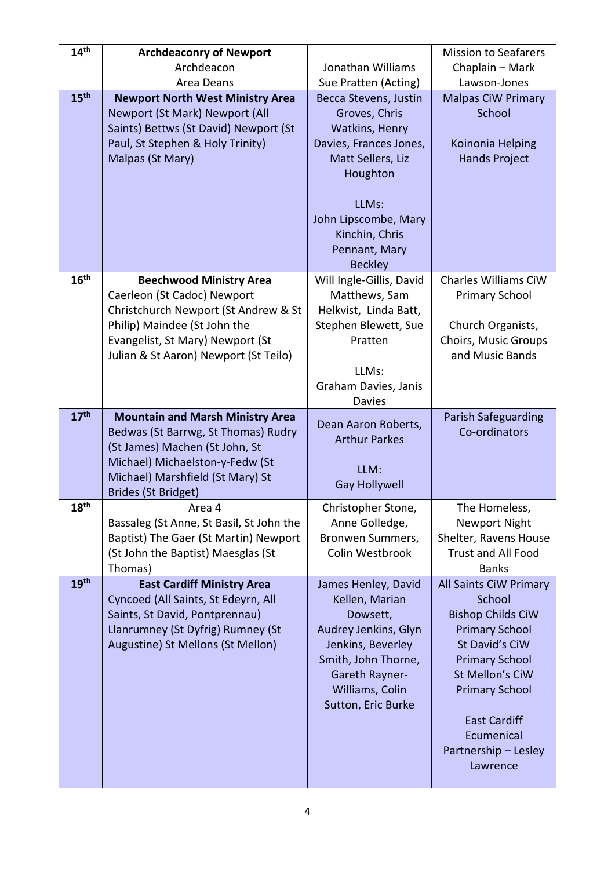| 14 <sup>th</sup> | <b>Archdeaconry of Newport</b>                                        |                                  | <b>Mission to Seafarers</b>        |
|------------------|-----------------------------------------------------------------------|----------------------------------|------------------------------------|
|                  | Archdeacon                                                            | Jonathan Williams                | Chaplain - Mark                    |
|                  | Area Deans                                                            | Sue Pratten (Acting)             | Lawson-Jones                       |
| 15 <sup>th</sup> | <b>Newport North West Ministry Area</b>                               | Becca Stevens, Justin            | <b>Malpas CiW Primary</b>          |
|                  | Newport (St Mark) Newport (All                                        | Groves, Chris                    | School                             |
|                  | Saints) Bettws (St David) Newport (St                                 | Watkins, Henry                   |                                    |
|                  | Paul, St Stephen & Holy Trinity)                                      | Davies, Frances Jones,           | Koinonia Helping                   |
|                  | Malpas (St Mary)                                                      | Matt Sellers, Liz                | <b>Hands Project</b>               |
|                  |                                                                       | Houghton                         |                                    |
|                  |                                                                       |                                  |                                    |
|                  |                                                                       | LLMs:                            |                                    |
|                  |                                                                       | John Lipscombe, Mary             |                                    |
|                  |                                                                       | Kinchin, Chris<br>Pennant, Mary  |                                    |
|                  |                                                                       | <b>Beckley</b>                   |                                    |
| 16 <sup>th</sup> | <b>Beechwood Ministry Area</b>                                        | Will Ingle-Gillis, David         | Charles Williams CiW               |
|                  | Caerleon (St Cadoc) Newport                                           | Matthews, Sam                    | <b>Primary School</b>              |
|                  | Christchurch Newport (St Andrew & St                                  | Helkvist, Linda Batt,            |                                    |
|                  | Philip) Maindee (St John the                                          | Stephen Blewett, Sue             | Church Organists,                  |
|                  | Evangelist, St Mary) Newport (St                                      | Pratten                          | Choirs, Music Groups               |
|                  | Julian & St Aaron) Newport (St Teilo)                                 |                                  | and Music Bands                    |
|                  |                                                                       | LLMs:                            |                                    |
|                  |                                                                       | Graham Davies, Janis             |                                    |
|                  |                                                                       | <b>Davies</b>                    |                                    |
| 17 <sup>th</sup> | <b>Mountain and Marsh Ministry Area</b>                               | Dean Aaron Roberts,              | Parish Safeguarding                |
|                  | Bedwas (St Barrwg, St Thomas) Rudry<br>(St James) Machen (St John, St | <b>Arthur Parkes</b>             | Co-ordinators                      |
|                  | Michael) Michaelston-y-Fedw (St                                       |                                  |                                    |
|                  | Michael) Marshfield (St Mary) St                                      | LLM:                             |                                    |
|                  | <b>Brides (St Bridget)</b>                                            | <b>Gay Hollywell</b>             |                                    |
| 18 <sup>th</sup> | Area 4                                                                | Christopher Stone,               | The Homeless,                      |
|                  | Bassaleg (St Anne, St Basil, St John the                              | Anne Golledge,                   | <b>Newport Night</b>               |
|                  | Baptist) The Gaer (St Martin) Newport                                 | Bronwen Summers,                 | Shelter, Ravens House              |
|                  | (St John the Baptist) Maesglas (St                                    | Colin Westbrook                  | Trust and All Food                 |
|                  | Thomas)                                                               |                                  | <b>Banks</b>                       |
| 19 <sup>th</sup> | <b>East Cardiff Ministry Area</b>                                     | James Henley, David              | All Saints CiW Primary             |
|                  | Cyncoed (All Saints, St Edeyrn, All                                   | Kellen, Marian                   | School<br><b>Bishop Childs CiW</b> |
|                  | Saints, St David, Pontprennau)<br>Llanrumney (St Dyfrig) Rumney (St   | Dowsett,<br>Audrey Jenkins, Glyn | <b>Primary School</b>              |
|                  | Augustine) St Mellons (St Mellon)                                     | Jenkins, Beverley                | St David's CiW                     |
|                  |                                                                       | Smith, John Thorne,              | <b>Primary School</b>              |
|                  |                                                                       | Gareth Rayner-                   | St Mellon's CiW                    |
|                  |                                                                       | Williams, Colin                  | <b>Primary School</b>              |
|                  |                                                                       | Sutton, Eric Burke               |                                    |
|                  |                                                                       |                                  | <b>East Cardiff</b>                |
|                  |                                                                       |                                  | Ecumenical                         |
|                  |                                                                       |                                  | Partnership - Lesley               |
|                  |                                                                       |                                  | Lawrence                           |
|                  |                                                                       |                                  |                                    |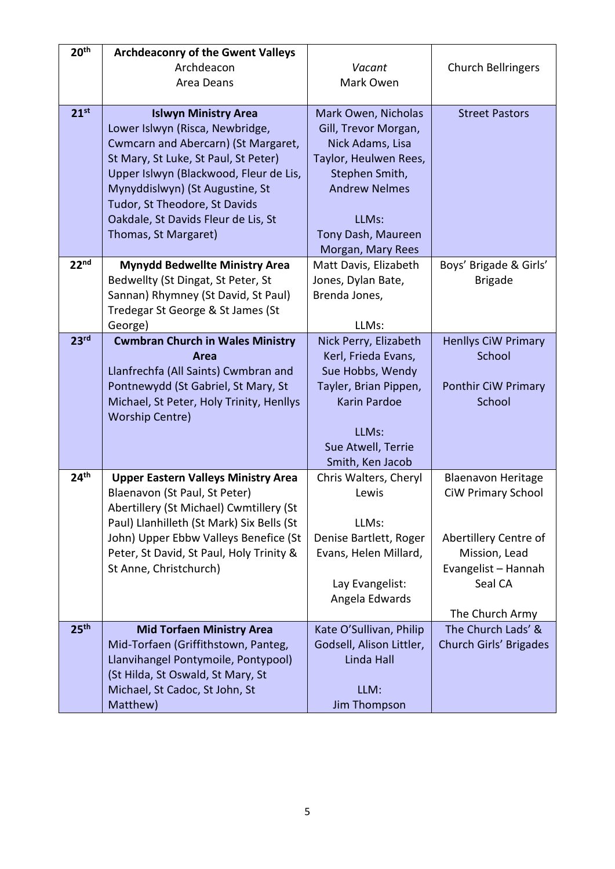| 20 <sup>th</sup> | <b>Archdeaconry of the Gwent Valleys</b>                                    |                                |                                                        |
|------------------|-----------------------------------------------------------------------------|--------------------------------|--------------------------------------------------------|
|                  | Archdeacon                                                                  | Vacant                         | Church Bellringers                                     |
|                  | Area Deans                                                                  | Mark Owen                      |                                                        |
|                  |                                                                             |                                |                                                        |
| 21 <sup>st</sup> | <b>Islwyn Ministry Area</b>                                                 | Mark Owen, Nicholas            | <b>Street Pastors</b>                                  |
|                  | Lower Islwyn (Risca, Newbridge,                                             | Gill, Trevor Morgan,           |                                                        |
|                  | Cwmcarn and Abercarn) (St Margaret,                                         | Nick Adams, Lisa               |                                                        |
|                  | St Mary, St Luke, St Paul, St Peter)                                        | Taylor, Heulwen Rees,          |                                                        |
|                  | Upper Islwyn (Blackwood, Fleur de Lis,                                      | Stephen Smith,                 |                                                        |
|                  | Mynyddislwyn) (St Augustine, St                                             | <b>Andrew Nelmes</b>           |                                                        |
|                  | Tudor, St Theodore, St Davids                                               |                                |                                                        |
|                  | Oakdale, St Davids Fleur de Lis, St                                         | LLMs:                          |                                                        |
|                  | Thomas, St Margaret)                                                        | Tony Dash, Maureen             |                                                        |
|                  |                                                                             | Morgan, Mary Rees              |                                                        |
| 22 <sup>nd</sup> | <b>Mynydd Bedwellte Ministry Area</b>                                       | Matt Davis, Elizabeth          | Boys' Brigade & Girls'                                 |
|                  | Bedwellty (St Dingat, St Peter, St                                          | Jones, Dylan Bate,             | <b>Brigade</b>                                         |
|                  | Sannan) Rhymney (St David, St Paul)                                         | Brenda Jones,                  |                                                        |
|                  | Tredegar St George & St James (St                                           |                                |                                                        |
|                  | George)                                                                     | LLMs:                          |                                                        |
| 23 <sup>rd</sup> | <b>Cwmbran Church in Wales Ministry</b>                                     | Nick Perry, Elizabeth          | <b>Henllys CiW Primary</b>                             |
|                  | Area                                                                        | Kerl, Frieda Evans,            | School                                                 |
|                  | Llanfrechfa (All Saints) Cwmbran and                                        | Sue Hobbs, Wendy               |                                                        |
|                  | Pontnewydd (St Gabriel, St Mary, St                                         | Tayler, Brian Pippen,          | Ponthir CiW Primary                                    |
|                  | Michael, St Peter, Holy Trinity, Henllys                                    | <b>Karin Pardoe</b>            | School                                                 |
|                  | <b>Worship Centre)</b>                                                      |                                |                                                        |
|                  |                                                                             | LLMs:                          |                                                        |
|                  |                                                                             | Sue Atwell, Terrie             |                                                        |
| 24 <sup>th</sup> |                                                                             | Smith, Ken Jacob               |                                                        |
|                  | <b>Upper Eastern Valleys Ministry Area</b><br>Blaenavon (St Paul, St Peter) | Chris Walters, Cheryl<br>Lewis | <b>Blaenavon Heritage</b><br><b>CiW Primary School</b> |
|                  | Abertillery (St Michael) Cwmtillery (St                                     |                                |                                                        |
|                  | Paul) Llanhilleth (St Mark) Six Bells (St                                   | LLMs:                          |                                                        |
|                  | John) Upper Ebbw Valleys Benefice (St                                       | Denise Bartlett, Roger         | Abertillery Centre of                                  |
|                  | Peter, St David, St Paul, Holy Trinity &                                    | Evans, Helen Millard,          | Mission, Lead                                          |
|                  | St Anne, Christchurch)                                                      |                                | Evangelist - Hannah                                    |
|                  |                                                                             | Lay Evangelist:                | Seal CA                                                |
|                  |                                                                             | Angela Edwards                 |                                                        |
|                  |                                                                             |                                | The Church Army                                        |
| 25 <sup>th</sup> | <b>Mid Torfaen Ministry Area</b>                                            | Kate O'Sullivan, Philip        | The Church Lads' &                                     |
|                  | Mid-Torfaen (Griffithstown, Panteg,                                         | Godsell, Alison Littler,       | Church Girls' Brigades                                 |
|                  | Llanvihangel Pontymoile, Pontypool)                                         | Linda Hall                     |                                                        |
|                  | (St Hilda, St Oswald, St Mary, St                                           |                                |                                                        |
|                  | Michael, St Cadoc, St John, St                                              | LLM:                           |                                                        |
|                  | Matthew)                                                                    | <b>Jim Thompson</b>            |                                                        |